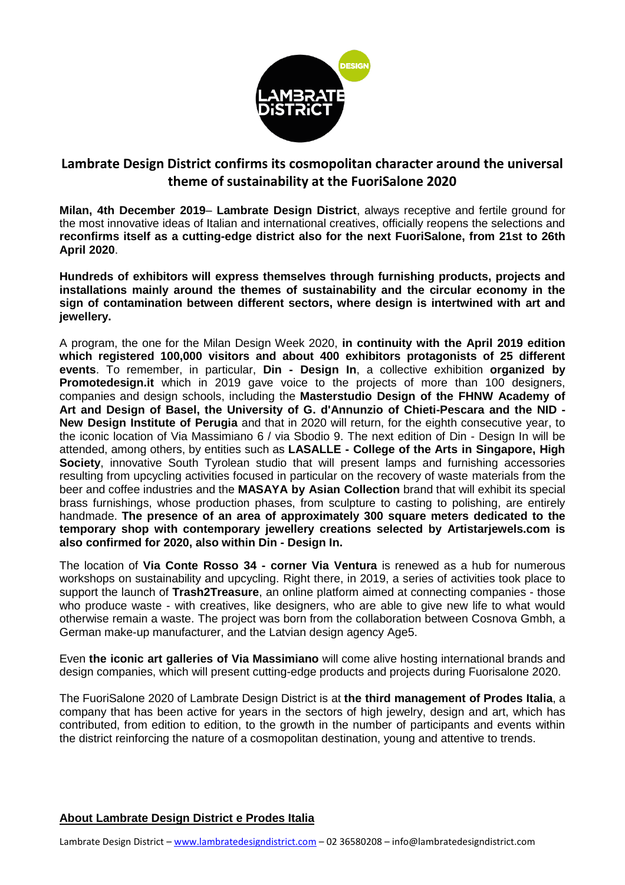

## **Lambrate Design District confirms its cosmopolitan character around the universal theme of sustainability at the FuoriSalone 2020**

**Milan, 4th December 2019**– **Lambrate Design District**, always receptive and fertile ground for the most innovative ideas of Italian and international creatives, officially reopens the selections and **reconfirms itself as a cutting-edge district also for the next FuoriSalone, from 21st to 26th April 2020**.

**Hundreds of exhibitors will express themselves through furnishing products, projects and installations mainly around the themes of sustainability and the circular economy in the sign of contamination between different sectors, where design is intertwined with art and jewellery.**

A program, the one for the Milan Design Week 2020, **in continuity with the April 2019 edition which registered 100,000 visitors and about 400 exhibitors protagonists of 25 different events**. To remember, in particular, **Din - Design In**, a collective exhibition **organized by Promotedesign.it** which in 2019 gave voice to the projects of more than 100 designers, companies and design schools, including the **Masterstudio Design of the FHNW Academy of Art and Design of Basel, the University of G. d'Annunzio of Chieti-Pescara and the NID - New Design Institute of Perugia** and that in 2020 will return, for the eighth consecutive year, to the iconic location of Via Massimiano 6 / via Sbodio 9. The next edition of Din - Design In will be attended, among others, by entities such as **LASALLE - College of the Arts in Singapore, High Society**, innovative South Tyrolean studio that will present lamps and furnishing accessories resulting from upcycling activities focused in particular on the recovery of waste materials from the beer and coffee industries and the **MASAYA by Asian Collection** brand that will exhibit its special brass furnishings, whose production phases, from sculpture to casting to polishing, are entirely handmade. **The presence of an area of approximately 300 square meters dedicated to the temporary shop with contemporary jewellery creations selected by Artistarjewels.com is also confirmed for 2020, also within Din - Design In.**

The location of **Via Conte Rosso 34 - corner Via Ventura** is renewed as a hub for numerous workshops on sustainability and upcycling. Right there, in 2019, a series of activities took place to support the launch of **Trash2Treasure**, an online platform aimed at connecting companies - those who produce waste - with creatives, like designers, who are able to give new life to what would otherwise remain a waste. The project was born from the collaboration between Cosnova Gmbh, a German make-up manufacturer, and the Latvian design agency Age5.

Even **the iconic art galleries of Via Massimiano** will come alive hosting international brands and design companies, which will present cutting-edge products and projects during Fuorisalone 2020.

The FuoriSalone 2020 of Lambrate Design District is at **the third management of Prodes Italia**, a company that has been active for years in the sectors of high jewelry, design and art, which has contributed, from edition to edition, to the growth in the number of participants and events within the district reinforcing the nature of a cosmopolitan destination, young and attentive to trends.

## **About Lambrate Design District e Prodes Italia**